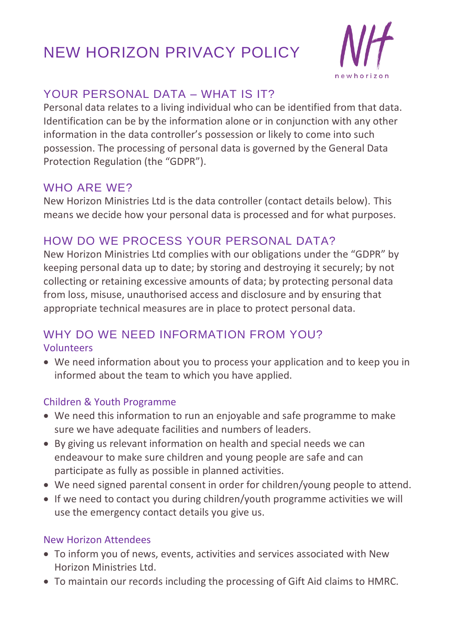# NEW HORIZON PRIVACY POLICY



## YOUR PERSONAL DATA – WHAT IS IT?

Personal data relates to a living individual who can be identified from that data. Identification can be by the information alone or in conjunction with any other information in the data controller's possession or likely to come into such possession. The processing of personal data is governed by the General Data Protection Regulation (the "GDPR").

### WHO ARE WE?

New Horizon Ministries Ltd is the data controller (contact details below). This means we decide how your personal data is processed and for what purposes.

## HOW DO WE PROCESS YOUR PERSONAL DATA?

New Horizon Ministries Ltd complies with our obligations under the "GDPR" by keeping personal data up to date; by storing and destroying it securely; by not collecting or retaining excessive amounts of data; by protecting personal data from loss, misuse, unauthorised access and disclosure and by ensuring that appropriate technical measures are in place to protect personal data.

### WHY DO WE NEED INFORMATION FROM YOU? Volunteers

• We need information about you to process your application and to keep you in informed about the team to which you have applied.

### Children & Youth Programme

- We need this information to run an enjoyable and safe programme to make sure we have adequate facilities and numbers of leaders.
- By giving us relevant information on health and special needs we can endeavour to make sure children and young people are safe and can participate as fully as possible in planned activities.
- We need signed parental consent in order for children/young people to attend.
- If we need to contact you during children/youth programme activities we will use the emergency contact details you give us.

### New Horizon Attendees

- To inform you of news, events, activities and services associated with New Horizon Ministries Ltd.
- To maintain our records including the processing of Gift Aid claims to HMRC.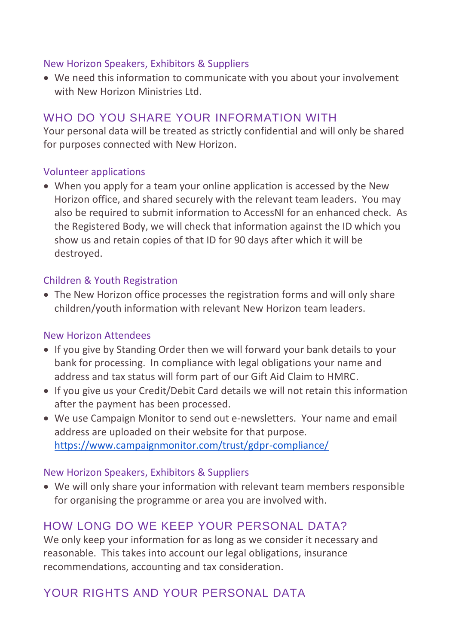#### New Horizon Speakers, Exhibitors & Suppliers

• We need this information to communicate with you about your involvement with New Horizon Ministries Ltd.

# WHO DO YOU SHARE YOUR INFORMATION WITH

Your personal data will be treated as strictly confidential and will only be shared for purposes connected with New Horizon.

#### Volunteer applications

• When you apply for a team your online application is accessed by the New Horizon office, and shared securely with the relevant team leaders. You may also be required to submit information to AccessNI for an enhanced check. As the Registered Body, we will check that information against the ID which you show us and retain copies of that ID for 90 days after which it will be destroyed.

#### Children & Youth Registration

• The New Horizon office processes the registration forms and will only share children/youth information with relevant New Horizon team leaders.

#### New Horizon Attendees

- If you give by Standing Order then we will forward your bank details to your bank for processing. In compliance with legal obligations your name and address and tax status will form part of our Gift Aid Claim to HMRC.
- If you give us your Credit/Debit Card details we will not retain this information after the payment has been processed.
- We use Campaign Monitor to send out e-newsletters. Your name and email address are uploaded on their website for that purpose. <https://www.campaignmonitor.com/trust/gdpr-compliance/>

#### New Horizon Speakers, Exhibitors & Suppliers

• We will only share your information with relevant team members responsible for organising the programme or area you are involved with.

## HOW LONG DO WE KEEP YOUR PERSONAL DATA?

We only keep your information for as long as we consider it necessary and reasonable. This takes into account our legal obligations, insurance recommendations, accounting and tax consideration.

# YOUR RIGHTS AND YOUR PERSONAL DATA